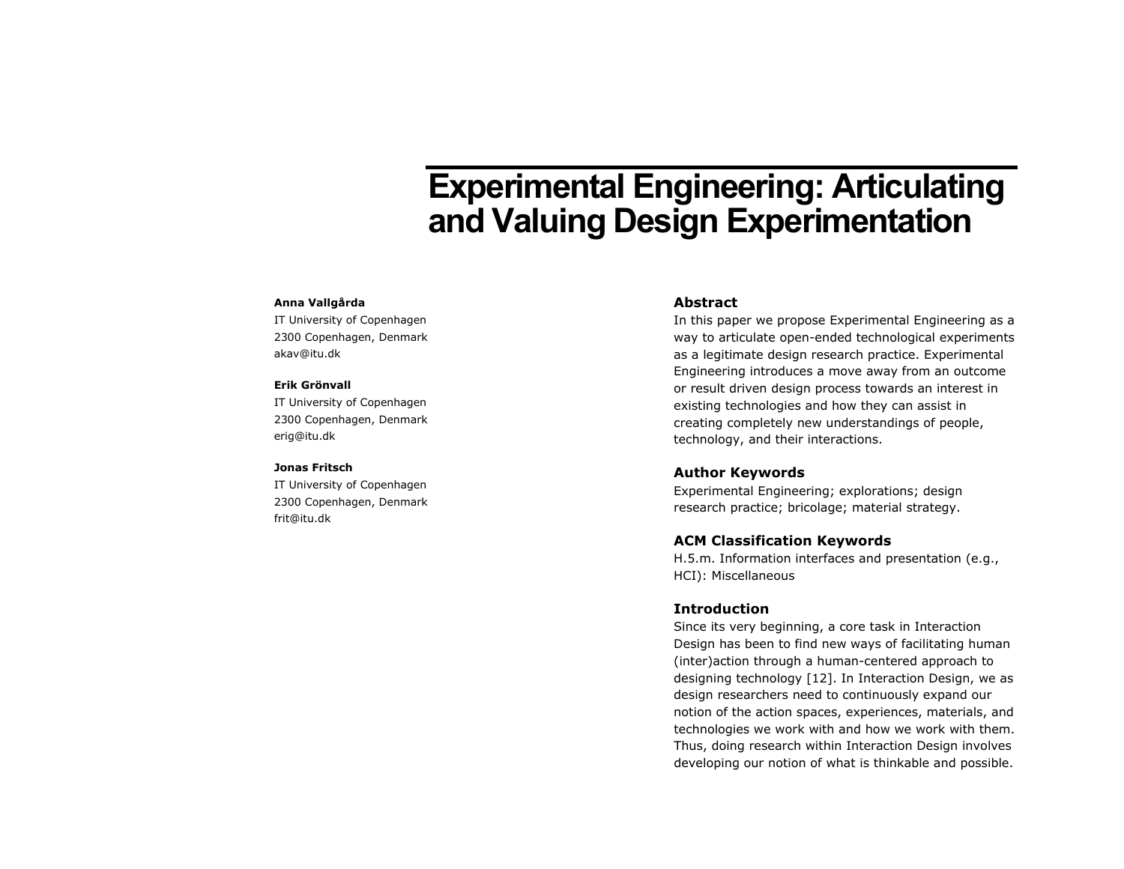# **Experimental Engineering: Articulating and Valuing Design Experimentation**

#### **Anna Vallgårda**

IT University of Copenhagen 2300 Copenhagen, Denmark akav@itu.dk

#### **Erik Grönvall**

IT University of Copenhagen 2300 Copenhagen, Denmark erig@itu.dk

#### **Jonas Fritsch**

IT University of Copenhagen 2300 Copenhagen, Denmark frit@itu.dk

#### **Abstract**

In this paper we propose Experimental Engineering as a way to articulate open-ended technological experiments as a legitimate design research practice. Experimental Engineering introduces a move away from an outcome or result driven design process towards an interest in existing technologies and how they can assist in creating completely new understandings of people, technology, and their interactions.

## **Author Keywords**

Experimental Engineering; explorations; design research practice; bricolage; material strategy.

#### **ACM Classification Keywords**

H.5.m. Information interfaces and presentation (e.g., HCI): Miscellaneous

#### **Introduction**

Since its very beginning, a core task in Interaction Design has been to find new ways of facilitating human (inter)action through a human-centered approach to designing technology [12]. In Interaction Design, we as design researchers need to continuously expand our notion of the action spaces, experiences, materials, and technologies we work with and how we work with them. Thus, doing research within Interaction Design involves developing our notion of what is thinkable and possible.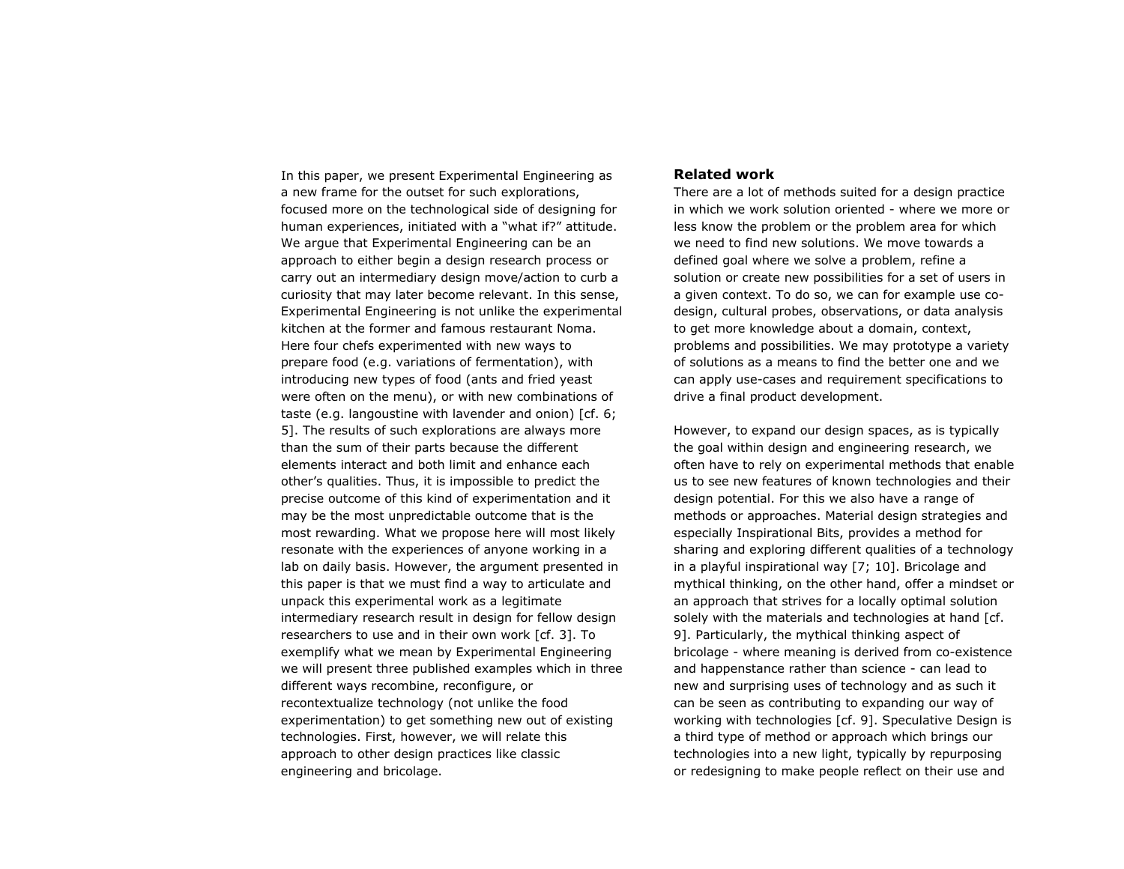In this paper, we present Experimental Engineering as a new frame for the outset for such explorations, focused more on the technological side of designing for human experiences, initiated with a "what if?" attitude. We argue that Experimental Engineering can be an approach to either begin a design research process or carry out an intermediary design move/action to curb a curiosity that may later become relevant. In this sense, Experimental Engineering is not unlike the experimental kitchen at the former and famous restaurant Noma. Here four chefs experimented with new ways to prepare food (e.g. variations of fermentation), with introducing new types of food (ants and fried yeast were often on the menu), or with new combinations of taste (e.g. langoustine with lavender and onion) [cf. 6; 5]. The results of such explorations are always more than the sum of their parts because the different elements interact and both limit and enhance each other's qualities. Thus, it is impossible to predict the precise outcome of this kind of experimentation and it may be the most unpredictable outcome that is the most rewarding. What we propose here will most likely resonate with the experiences of anyone working in a lab on daily basis. However, the argument presented in this paper is that we must find a way to articulate and unpack this experimental work as a legitimate intermediary research result in design for fellow design researchers to use and in their own work [cf. 3]. To exemplify what we mean by Experimental Engineering we will present three published examples which in three different ways recombine, reconfigure, or recontextualize technology (not unlike the food experimentation) to get something new out of existing technologies. First, however, we will relate this approach to other design practices like classic engineering and bricolage.

### **Related work**

There are a lot of methods suited for a design practice in which we work solution oriented - where we more or less know the problem or the problem area for which we need to find new solutions. We move towards a defined goal where we solve a problem, refine a solution or create new possibilities for a set of users in a given context. To do so, we can for example use codesign, cultural probes, observations, or data analysis to get more knowledge about a domain, context, problems and possibilities. We may prototype a variety of solutions as a means to find the better one and we can apply use-cases and requirement specifications to drive a final product development.

However, to expand our design spaces, as is typically the goal within design and engineering research, we often have to rely on experimental methods that enable us to see new features of known technologies and their design potential. For this we also have a range of methods or approaches. Material design strategies and especially Inspirational Bits, provides a method for sharing and exploring different qualities of a technology in a playful inspirational way [7; 10]. Bricolage and mythical thinking, on the other hand, offer a mindset or an approach that strives for a locally optimal solution solely with the materials and technologies at hand [cf. 9]. Particularly, the mythical thinking aspect of bricolage - where meaning is derived from co-existence and happenstance rather than science - can lead to new and surprising uses of technology and as such it can be seen as contributing to expanding our way of working with technologies [cf. 9]. Speculative Design is a third type of method or approach which brings our technologies into a new light, typically by repurposing or redesigning to make people reflect on their use and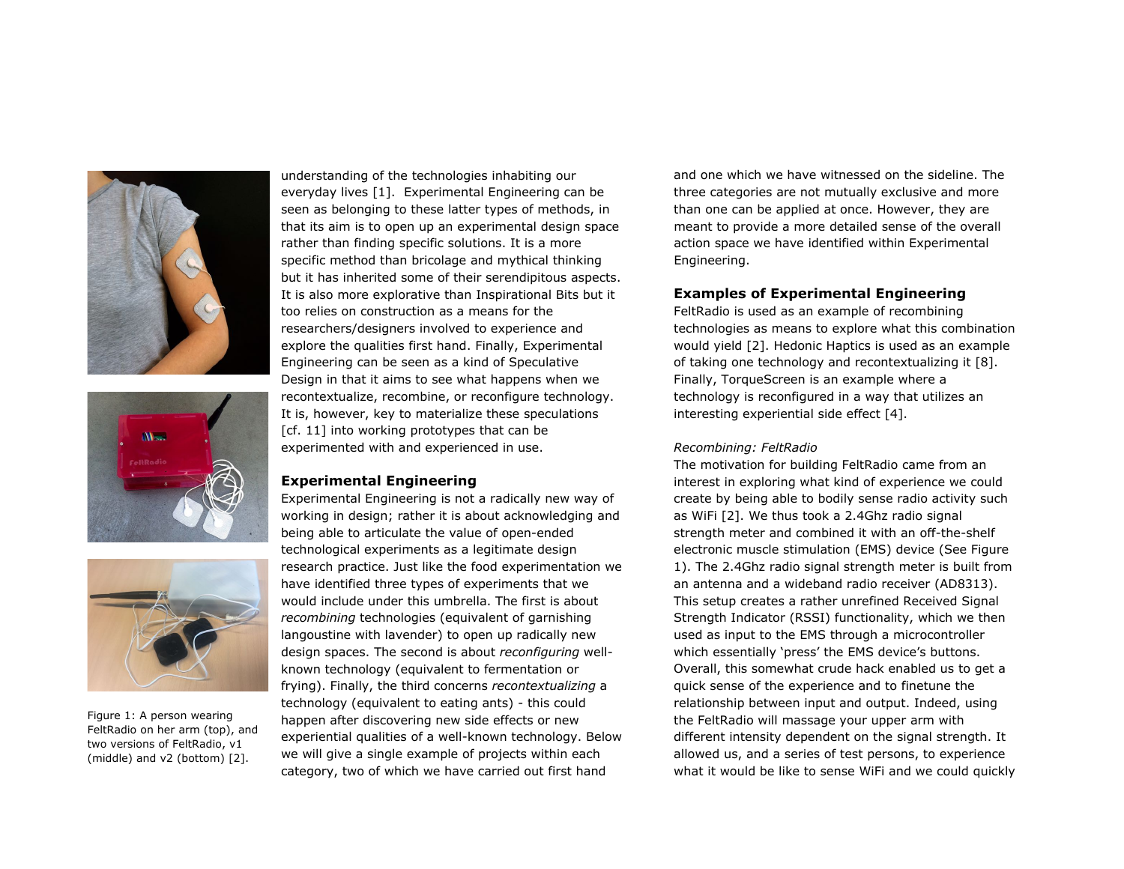





Figure 1: A person wearing FeltRadio on her arm (top), and two versions of FeltRadio, v1 (middle) and v2 (bottom) [2].

understanding of the technologies inhabiting our everyday lives [1]. Experimental Engineering can be seen as belonging to these latter types of methods, in that its aim is to open up an experimental design space rather than finding specific solutions. It is a more specific method than bricolage and mythical thinking but it has inherited some of their serendipitous aspects. It is also more explorative than Inspirational Bits but it too relies on construction as a means for the researchers/designers involved to experience and explore the qualities first hand. Finally, Experimental Engineering can be seen as a kind of Speculative Design in that it aims to see what happens when we recontextualize, recombine, or reconfigure technology. It is, however, key to materialize these speculations [cf. 11] into working prototypes that can be experimented with and experienced in use.

## **Experimental Engineering**

Experimental Engineering is not a radically new way of working in design; rather it is about acknowledging and being able to articulate the value of open-ended technological experiments as a legitimate design research practice. Just like the food experimentation we have identified three types of experiments that we would include under this umbrella. The first is about *recombining* technologies (equivalent of garnishing langoustine with lavender) to open up radically new design spaces. The second is about *reconfiguring* wellknown technology (equivalent to fermentation or frying). Finally, the third concerns *recontextualizing* a technology (equivalent to eating ants) - this could happen after discovering new side effects or new experiential qualities of a well-known technology. Below we will give a single example of projects within each category, two of which we have carried out first hand

and one which we have witnessed on the sideline. The three categories are not mutually exclusive and more than one can be applied at once. However, they are meant to provide a more detailed sense of the overall action space we have identified within Experimental Engineering.

# **Examples of Experimental Engineering**

FeltRadio is used as an example of recombining technologies as means to explore what this combination would yield [2]. Hedonic Haptics is used as an example of taking one technology and recontextualizing it [8]. Finally, TorqueScreen is an example where a technology is reconfigured in a way that utilizes an interesting experiential side effect [4].

# *Recombining: FeltRadio*

The motivation for building FeltRadio came from an interest in exploring what kind of experience we could create by being able to bodily sense radio activity such as WiFi [2]. We thus took a 2.4Ghz radio signal strength meter and combined it with an off-the-shelf electronic muscle stimulation (EMS) device (See Figure 1). The 2.4Ghz radio signal strength meter is built from an antenna and a wideband radio receiver (AD8313). This setup creates a rather unrefined Received Signal Strength Indicator (RSSI) functionality, which we then used as input to the EMS through a microcontroller which essentially 'press' the EMS device's buttons. Overall, this somewhat crude hack enabled us to get a quick sense of the experience and to finetune the relationship between input and output. Indeed, using the FeltRadio will massage your upper arm with different intensity dependent on the signal strength. It allowed us, and a series of test persons, to experience what it would be like to sense WiFi and we could quickly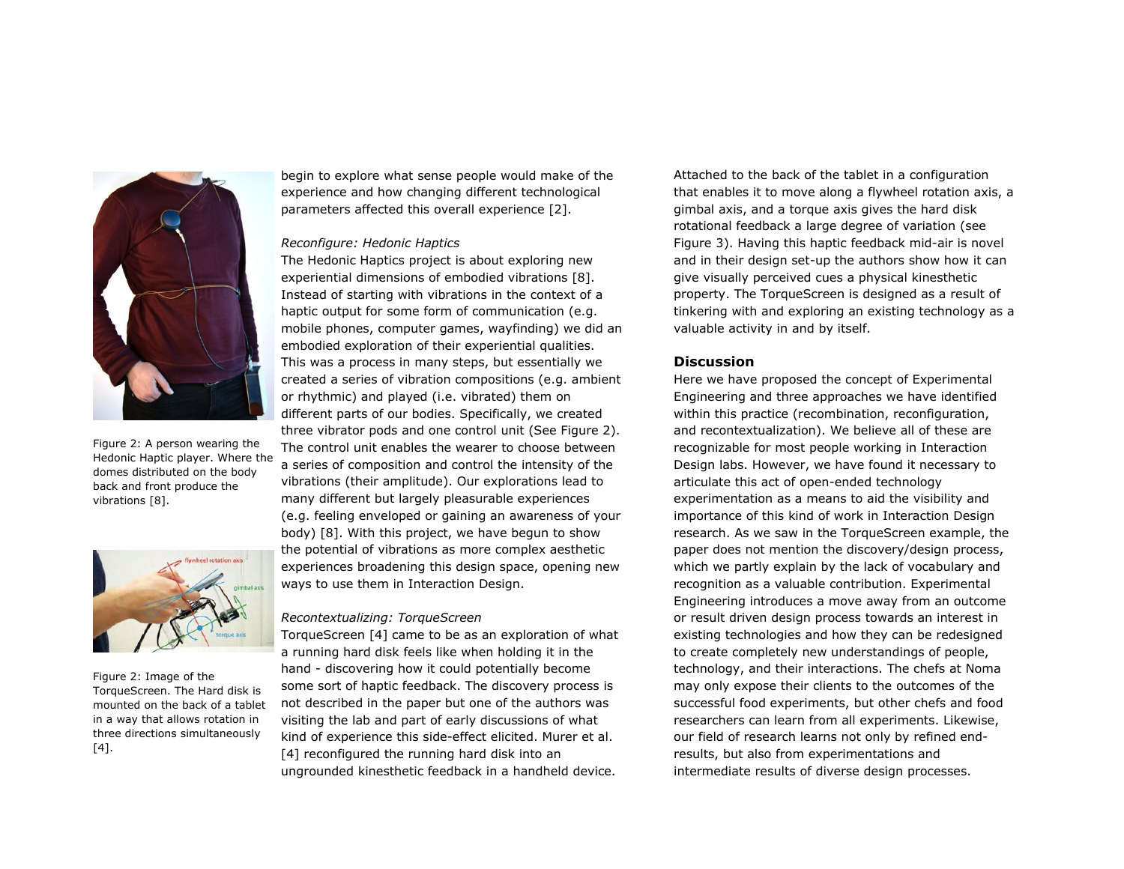

Figure 2: A person wearing the Hedonic Haptic player. Where the domes distributed on the body back and front produce the vibrations [8].



Figure 2: Image of the TorqueScreen. The Hard disk is mounted on the back of a tablet in a way that allows rotation in three directions simultaneously [4].

begin to explore what sense people would make of the experience and how changing different technological parameters affected this overall experience [2].

# *Reconfigure: Hedonic Haptics*

The Hedonic Haptics project is about exploring new experiential dimensions of embodied vibrations [8]. Instead of starting with vibrations in the context of a haptic output for some form of communication (e.g. mobile phones, computer games, wayfinding) we did an embodied exploration of their experiential qualities. This was a process in many steps, but essentially we created a series of vibration compositions (e.g. ambient or rhythmic) and played (i.e. vibrated) them on different parts of our bodies. Specifically, we created three vibrator pods and one control unit (See Figure 2). The control unit enables the wearer to choose between a series of composition and control the intensity of the vibrations (their amplitude). Our explorations lead to many different but largely pleasurable experiences (e.g. feeling enveloped or gaining an awareness of your body) [8]. With this project, we have begun to show the potential of vibrations as more complex aesthetic experiences broadening this design space, opening new ways to use them in Interaction Design.

#### *Recontextualizing: TorqueScreen*

TorqueScreen [4] came to be as an exploration of what a running hard disk feels like when holding it in the hand - discovering how it could potentially become some sort of haptic feedback. The discovery process is not described in the paper but one of the authors was visiting the lab and part of early discussions of what kind of experience this side-effect elicited. Murer et al. [4] reconfigured the running hard disk into an ungrounded kinesthetic feedback in a handheld device.

Attached to the back of the tablet in a configuration that enables it to move along a flywheel rotation axis, a gimbal axis, and a torque axis gives the hard disk rotational feedback a large degree of variation (see Figure 3). Having this haptic feedback mid-air is novel and in their design set-up the authors show how it can give visually perceived cues a physical kinesthetic property. The TorqueScreen is designed as a result of tinkering with and exploring an existing technology as a valuable activity in and by itself.

### **Discussion**

Here we have proposed the concept of Experimental Engineering and three approaches we have identified within this practice (recombination, reconfiguration, and recontextualization). We believe all of these are recognizable for most people working in Interaction Design labs. However, we have found it necessary to articulate this act of open-ended technology experimentation as a means to aid the visibility and importance of this kind of work in Interaction Design research. As we saw in the TorqueScreen example, the paper does not mention the discovery/design process, which we partly explain by the lack of vocabulary and recognition as a valuable contribution. Experimental Engineering introduces a move away from an outcome or result driven design process towards an interest in existing technologies and how they can be redesigned to create completely new understandings of people, technology, and their interactions. The chefs at Noma may only expose their clients to the outcomes of the successful food experiments, but other chefs and food researchers can learn from all experiments. Likewise, our field of research learns not only by refined endresults, but also from experimentations and intermediate results of diverse design processes.